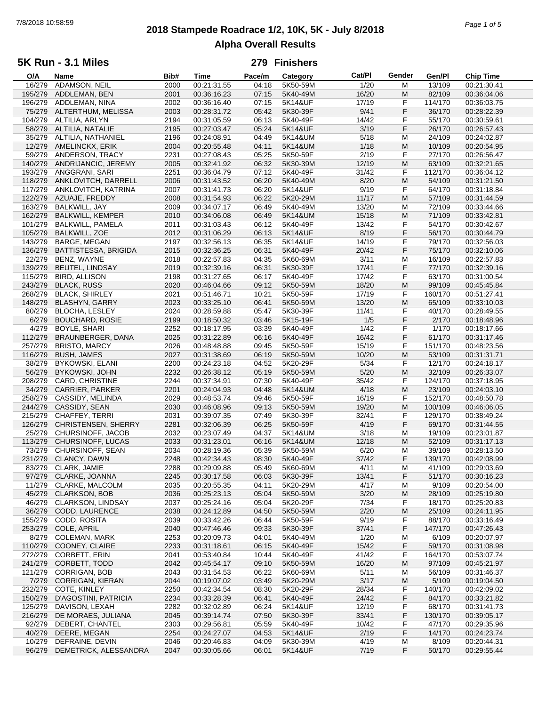# **2018 Stampede Roadrace 1/2, 10K, 5K - July 8/2018** 7/8/2018 10:58:59 *Page 1 of 5* **Alpha Overall Results**

### **5K Run - 3.1 Miles**

| O/A     | Name                        | Bib# | <b>Time</b> | Pace/m | Category | Cat/PI | Gender    | Gen/Pl  | <b>Chip Time</b> |
|---------|-----------------------------|------|-------------|--------|----------|--------|-----------|---------|------------------|
| 16/279  | ADAMSON, NEIL               | 2000 | 00:21:31.55 | 04:18  | 5K50-59M | 1/20   | M         | 13/109  | 00:21:30.41      |
| 195/279 | ADDLEMAN, BEN               | 2001 | 00:36:16.23 | 07:15  | 5K40-49M | 16/20  | M         | 82/109  | 00:36:04.06      |
| 196/279 | ADDLEMAN, NINA              | 2002 | 00:36:16.40 | 07:15  | 5K14&UF  | 17/19  | F         | 114/170 | 00:36:03.75      |
| 75/279  | ALTERTHUM, MELISSA          | 2003 | 00:28:31.72 | 05:42  | 5K30-39F | 9/41   | F         | 36/170  | 00:28:22.39      |
| 104/279 | ALTILIA, ARLYN              | 2194 | 00:31:05.59 | 06:13  | 5K40-49F | 14/42  | F         | 55/170  | 00:30:59.61      |
|         |                             |      |             |        |          |        |           |         |                  |
| 58/279  | ALTILIA, NATALIE            | 2195 | 00:27:03.47 | 05:24  | 5K14&UF  | 3/19   | F         | 26/170  | 00:26:57.43      |
| 35/279  | ALTILIA, NATHANIEL          | 2196 | 00:24:08.91 | 04:49  | 5K14&UM  | 5/18   | M         | 24/109  | 00:24:02.87      |
| 12/279  | AMELINCKX, ERIK             | 2004 | 00:20:55.48 | 04:11  | 5K14&UM  | 1/18   | M         | 10/109  | 00:20:54.95      |
| 59/279  | ANDERSON, TRACY             | 2231 | 00:27:08.43 | 05:25  | 5K50-59F | 2/19   | F         | 27/170  | 00:26:56.47      |
| 140/279 | ANDRIJANCIC, JEREMY         | 2005 | 00:32:41.92 | 06:32  | 5K30-39M | 12/19  | M         | 63/109  | 00:32:21.65      |
| 193/279 | ANGGRANI, SARI              | 2251 | 00:36:04.79 | 07:12  | 5K40-49F | 31/42  | F         | 112/170 | 00:36:04.12      |
| 118/279 | ANKLOVITCH, DARRELL         | 2006 | 00:31:43.52 | 06:20  | 5K40-49M | 8/20   | M         | 54/109  | 00:31:21.50      |
| 117/279 | ANKLOVITCH, KATRINA         | 2007 | 00:31:41.73 | 06:20  | 5K14&UF  | 9/19   | F         | 64/170  | 00:31:18.84      |
|         |                             |      |             |        | 5K20-29M |        |           |         |                  |
| 122/279 | AZUAJE, FREDDY              | 2008 | 00:31:54.93 | 06:22  |          | 11/17  | M         | 57/109  | 00:31:44.59      |
| 163/279 | BALKWILL, JAY               | 2009 | 00:34:07.17 | 06:49  | 5K40-49M | 13/20  | M         | 72/109  | 00:33:44.66      |
| 162/279 | <b>BALKWILL, KEMPER</b>     | 2010 | 00:34:06.08 | 06:49  | 5K14&UM  | 15/18  | M         | 71/109  | 00:33:42.81      |
| 101/279 | <b>BALKWILL, PAMELA</b>     | 2011 | 00:31:03.43 | 06:12  | 5K40-49F | 13/42  | F         | 54/170  | 00:30:42.67      |
| 105/279 | <b>BALKWILL, ZOE</b>        | 2012 | 00:31:06.29 | 06:13  | 5K14&UF  | 8/19   | F         | 56/170  | 00:30:44.79      |
| 143/279 | BARGE, MEGAN                | 2197 | 00:32:56.13 | 06:35  | 5K14&UF  | 14/19  | F         | 79/170  | 00:32:56.03      |
| 136/279 | <b>BATTISTESSA, BRIGIDA</b> | 2015 | 00:32:36.25 | 06:31  | 5K40-49F | 20/42  | F         | 75/170  | 00:32:10.06      |
| 22/279  | BENZ, WAYNE                 | 2018 | 00:22:57.83 | 04:35  | 5K60-69M | 3/11   | M         | 16/109  | 00:22:57.83      |
| 139/279 | <b>BEUTEL, LINDSAY</b>      | 2019 | 00:32:39.16 | 06:31  | 5K30-39F | 17/41  | F         | 77/170  | 00:32:39.16      |
|         |                             |      |             |        |          |        |           |         |                  |
| 115/279 | <b>BIRD, ALLISON</b>        | 2198 | 00:31:27.65 | 06:17  | 5K40-49F | 17/42  | F         | 63/170  | 00:31:00.54      |
| 243/279 | <b>BLACK, RUSS</b>          | 2020 | 00:46:04.66 | 09:12  | 5K50-59M | 18/20  | M         | 99/109  | 00:45:45.84      |
| 268/279 | <b>BLACK, SHIRLEY</b>       | 2021 | 00:51:46.71 | 10:21  | 5K50-59F | 17/19  | F         | 160/170 | 00:51:27.41      |
| 148/279 | <b>BLASHYN, GARRY</b>       | 2023 | 00:33:25.10 | 06:41  | 5K50-59M | 13/20  | ${\sf M}$ | 65/109  | 00:33:10.03      |
| 80/279  | <b>BLOCHA, LESLEY</b>       | 2024 | 00:28:59.88 | 05:47  | 5K30-39F | 11/41  | F         | 40/170  | 00:28:49.55      |
| 6/279   | <b>BOUCHARD, ROSIE</b>      | 2199 | 00:18:50.32 | 03:46  | 5K15-19F | 1/5    | F         | 2/170   | 00:18:48.96      |
| 4/279   | BOYLE, SHARI                | 2252 | 00:18:17.95 | 03:39  | 5K40-49F | 1/42   | F         | 1/170   | 00:18:17.66      |
| 112/279 | BRAUNBERGER, DANA           | 2025 | 00:31:22.89 | 06:16  | 5K40-49F | 16/42  | F         | 61/170  | 00:31:17.46      |
|         |                             |      |             |        |          |        |           |         |                  |
| 257/279 | <b>BRISTO, MARCY</b>        | 2026 | 00:48:48.88 | 09:45  | 5K50-59F | 15/19  | F         | 151/170 | 00:48:23.56      |
| 116/279 | <b>BUSH, JAMES</b>          | 2027 | 00:31:38.69 | 06:19  | 5K50-59M | 10/20  | M         | 53/109  | 00:31:31.71      |
| 38/279  | <b>BYKOWSKI, ELANI</b>      | 2200 | 00:24:23.18 | 04:52  | 5K20-29F | 5/34   | F         | 12/170  | 00:24:18.17      |
| 56/279  | <b>BYKOWSKI, JOHN</b>       | 2232 | 00:26:38.12 | 05:19  | 5K50-59M | $5/20$ | M         | 32/109  | 00:26:33.07      |
| 208/279 | CARD, CHRISTINE             | 2244 | 00:37:34.91 | 07:30  | 5K40-49F | 35/42  | F         | 124/170 | 00:37:18.95      |
| 34/279  | CARRIER, PARKER             | 2201 | 00:24:04.93 | 04:48  | 5K14&UM  | 4/18   | M         | 23/109  | 00:24:03.10      |
| 258/279 | CASSIDY, MELINDA            | 2029 | 00:48:53.74 | 09:46  | 5K50-59F | 16/19  | F         | 152/170 | 00:48:50.78      |
| 244/279 | CASSIDY, SEAN               | 2030 | 00:46:08.96 | 09:13  | 5K50-59M | 19/20  | M         | 100/109 | 00:46:06.05      |
| 215/279 | CHAFFEY, TERRI              | 2031 | 00:39:07.35 | 07:49  | 5K30-39F | 32/41  | F         | 129/170 | 00:38:49.24      |
|         |                             |      |             |        |          |        | F         |         | 00:31:44.55      |
| 126/279 | CHRISTENSEN, SHERRY         | 2281 | 00:32:06.39 | 06:25  | 5K50-59F | 4/19   |           | 69/170  |                  |
| 25/279  | CHURSINOFF, JACOB           | 2032 | 00:23:07.49 | 04:37  | 5K14&UM  | 3/18   | M         | 19/109  | 00:23:01.87      |
| 113/279 | CHURSINOFF, LUCAS           | 2033 | 00:31:23.01 | 06:16  | 5K14&UM  | 12/18  | M         | 52/109  | 00:31:17.13      |
| 73/279  | CHURSINOFF, SEAN            | 2034 | 00:28:19.36 | 05:39  | 5K50-59M | 6/20   | м         | 39/109  | 00:28:13.50      |
| 231/279 | CLANCY, DAWN                | 2248 | 00:42:34.43 | 08:30  | 5K40-49F | 37/42  | F         | 139/170 | 00:42:08.99      |
|         | 83/279 CLARK, JAMIE         | 2288 | 00:29:09.88 | 05:49  | 5K60-69M | 4/11   | M         | 41/109  | 00:29:03.69      |
|         | 97/279 CLARKE, JOANNA       | 2245 | 00:30:17.58 | 06:03  | 5K30-39F | 13/41  | F         | 51/170  | 00:30:16.23      |
| 11/279  | CLARKE, MALCOLM             | 2035 | 00:20:55.35 | 04:11  | 5K20-29M | 4/17   | M         | 9/109   | 00:20:54.00      |
| 45/279  | <b>CLARKSON, BOB</b>        | 2036 | 00:25:23.13 | 05:04  | 5K50-59M | 3/20   | M         | 28/109  | 00:25:19.80      |
| 46/279  | CLARKSON, LINDSAY           | 2037 | 00:25:24.16 | 05:04  | 5K20-29F | 7/34   | F         | 18/170  | 00:25:20.83      |
|         | CODD, LAURENCE              |      | 00:24:12.89 |        |          |        |           |         |                  |
| 36/279  |                             | 2038 |             | 04:50  | 5K50-59M | 2/20   | M         | 25/109  | 00:24:11.95      |
| 155/279 | CODD, ROSITA                | 2039 | 00:33:42.26 | 06:44  | 5K50-59F | 9/19   | F         | 88/170  | 00:33:16.49      |
| 253/279 | COLE, APRIL                 | 2040 | 00:47:46.46 | 09:33  | 5K30-39F | 37/41  | F         | 147/170 | 00:47:26.43      |
| 8/279   | <b>COLEMAN, MARK</b>        | 2253 | 00:20:09.73 | 04:01  | 5K40-49M | 1/20   | M         | 6/109   | 00:20:07.97      |
| 110/279 | COONEY, CLAIRE              | 2233 | 00:31:18.61 | 06:15  | 5K40-49F | 15/42  | F         | 59/170  | 00:31:08.98      |
| 272/279 | CORBETT, ERIN               | 2041 | 00:53:40.84 | 10:44  | 5K40-49F | 41/42  | F         | 164/170 | 00:53:07.74      |
| 241/279 | CORBETT, TODD               | 2042 | 00:45:54.17 | 09:10  | 5K50-59M | 16/20  | M         | 97/109  | 00:45:21.97      |
| 121/279 | <b>CORRIGAN, BOB</b>        | 2043 | 00:31:54.53 | 06:22  | 5K60-69M | 5/11   | M         | 56/109  | 00:31:46.37      |
| 7/279   | CORRIGAN, KIERAN            | 2044 | 00:19:07.02 | 03:49  | 5K20-29M | 3/17   | M         | 5/109   | 00:19:04.50      |
| 232/279 |                             |      |             |        |          |        | F         |         |                  |
|         | COTE, KINLEY                | 2250 | 00:42:34.54 | 08:30  | 5K20-29F | 28/34  |           | 140/170 | 00:42:09.02      |
| 150/279 | D'AGOSTINI, PATRICIA        | 2234 | 00:33:28.39 | 06:41  | 5K40-49F | 24/42  | F         | 84/170  | 00:33:21.82      |
| 125/279 | DAVISON, LEXAH              | 2282 | 00:32:02.89 | 06:24  | 5K14&UF  | 12/19  | F         | 68/170  | 00:31:41.73      |
| 216/279 | DE MORAES, JULIANA          | 2045 | 00:39:14.74 | 07:50  | 5K30-39F | 33/41  | F         | 130/170 | 00:39:05.17      |
| 92/279  | DEBERT, CHANTEL             | 2303 | 00:29:56.81 | 05:59  | 5K40-49F | 10/42  | F         | 47/170  | 00:29:35.96      |
| 40/279  | DEERE, MEGAN                | 2254 | 00:24:27.07 | 04:53  | 5K14&UF  | 2/19   | F         | 14/170  | 00:24:23.74      |
| 10/279  | DEFRAINE, DEVIN             | 2046 | 00:20:46.83 | 04:09  | 5K30-39M | 4/19   | M         | 8/109   | 00:20:44.31      |
| 96/279  | DEMETRICK, ALESSANDRA       | 2047 | 00:30:05.66 | 06:01  | 5K14&UF  | 7/19   | F         | 50/170  | 00:29:55.44      |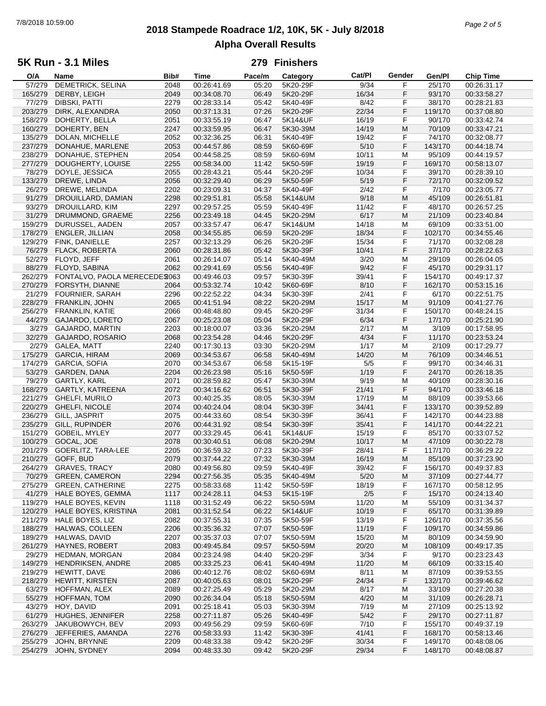# **2018 Stampede Roadrace 1/2, 10K, 5K - July 8/2018** 7/8/2018 10:59:00 *Page 2 of 5* **Alpha Overall Results**

### **5K Run - 3.1 Miles**

| O/A     | Name                          | Bib# | Time        | Pace/m | Category | Cat/PI | Gender | Gen/Pl  | <b>Chip Time</b> |
|---------|-------------------------------|------|-------------|--------|----------|--------|--------|---------|------------------|
| 57/279  | DEMETRICK, SELINA             | 2048 | 00:26:41.69 | 05:20  | 5K20-29F | 9/34   | F      | 25/170  | 00:26:31.17      |
| 165/279 | DERBY, LEIGH                  | 2049 | 00:34:08.70 | 06:49  | 5K20-29F | 16/34  | F      | 93/170  | 00:33:58.27      |
| 77/279  | <b>DIBSKI, PATTI</b>          | 2279 | 00:28:33.14 | 05:42  | 5K40-49F | 8/42   | F      | 38/170  | 00:28:21.83      |
| 203/279 | DIRK, ALEXANDRA               | 2050 | 00:37:13.31 | 07:26  | 5K20-29F | 22/34  | F      | 119/170 | 00:37:08.80      |
|         |                               |      |             |        |          |        |        |         |                  |
| 158/279 | DOHERTY, BELLA                | 2051 | 00:33:55.19 | 06:47  | 5K14&UF  | 16/19  | F      | 90/170  | 00:33:42.74      |
| 160/279 | DOHERTY, BEN                  | 2247 | 00:33:59.95 | 06:47  | 5K30-39M | 14/19  | M      | 70/109  | 00:33:47.21      |
| 135/279 | DOLAN, MICHELLE               | 2052 | 00:32:36.25 | 06:31  | 5K40-49F | 19/42  | F      | 74/170  | 00:32:08.77      |
| 237/279 | DONAHUE, MARLENE              | 2053 | 00:44:57.86 | 08:59  | 5K60-69F | $5/10$ | F      | 143/170 | 00:44:18.74      |
| 238/279 | DONAHUE, STEPHEN              | 2054 | 00:44:58.25 | 08:59  | 5K60-69M | 10/11  | M      | 95/109  | 00:44:19.57      |
| 277/279 | DOUGHERTY, LOUISE             | 2255 | 00:58:34.00 | 11:42  | 5K50-59F | 19/19  | F      | 169/170 | 00:58:13.07      |
|         |                               |      |             | 05:44  |          | 10/34  | F      |         | 00:28:39.10      |
| 78/279  | DOYLE, JESSICA                | 2055 | 00:28:43.21 |        | 5K20-29F |        |        | 39/170  |                  |
| 133/279 | DREWE, LINDA                  | 2056 | 00:32:29.40 | 06:29  | 5K50-59F | 5/19   | F      | 72/170  | 00:32:09.52      |
| 26/279  | DREWE, MELINDA                | 2202 | 00:23:09.31 | 04:37  | 5K40-49F | 2/42   | F      | 7/170   | 00:23:05.77      |
| 91/279  | DROUILLARD, DAMIAN            | 2298 | 00:29:51.81 | 05:58  | 5K14&UM  | 9/18   | M      | 45/109  | 00:26:51.81      |
| 93/279  | DROUILLARD, KIM               | 2297 | 00:29:57.25 | 05:59  | 5K40-49F | 11/42  | F      | 48/170  | 00:26:57.25      |
| 31/279  | DRUMMOND, GRAEME              | 2256 | 00:23:49.18 | 04:45  | 5K20-29M | 6/17   | M      | 21/109  | 00:23:40.84      |
| 159/279 | DURUSSEL, AADEN               | 2057 | 00:33:57.47 | 06:47  | 5K14&UM  | 14/18  | M      | 69/109  | 00:33:51.00      |
|         |                               |      |             | 06:59  |          | 18/34  | F      |         |                  |
| 178/279 | <b>ENGLER, JILLIAN</b>        | 2058 | 00:34:55.85 |        | 5K20-29F |        |        | 102/170 | 00:34:55.46      |
| 129/279 | FINK, DANIELLE                | 2257 | 00:32:13.29 | 06:26  | 5K20-29F | 15/34  | F      | 71/170  | 00:32:08.28      |
| 76/279  | FLACK, ROBERTA                | 2060 | 00:28:31.86 | 05:42  | 5K30-39F | 10/41  | F      | 37/170  | 00:28:22.63      |
| 52/279  | FLOYD, JEFF                   | 2061 | 00:26:14.07 | 05:14  | 5K40-49M | 3/20   | M      | 29/109  | 00:26:04.05      |
| 88/279  | FLOYD, SABINA                 | 2062 | 00:29:41.69 | 05:56  | 5K40-49F | 9/42   | F      | 45/170  | 00:29:31.17      |
| 262/279 | FONTALVO, PAOLA MERECEDE 2063 |      | 00:49:46.03 | 09:57  | 5K30-39F | 39/41  | F      | 154/170 | 00:49:17.37      |
|         |                               |      |             | 10:42  |          | 8/10   | F      | 162/170 |                  |
| 270/279 | FORSYTH, DIANNE               | 2064 | 00:53:32.74 |        | 5K60-69F |        |        |         | 00:53:15.16      |
| 21/279  | <b>FOURNIER, SARAH</b>        | 2296 | 00:22:52.22 | 04:34  | 5K30-39F | 2/41   | F      | 6/170   | 00:22:51.75      |
| 228/279 | FRANKLIN, JOHN                | 2065 | 00:41:51.94 | 08:22  | 5K20-29M | 15/17  | M      | 91/109  | 00:41:27.76      |
| 256/279 | <b>FRANKLIN, KATIE</b>        | 2066 | 00:48:48.80 | 09:45  | 5K20-29F | 31/34  | F      | 150/170 | 00:48:24.15      |
| 44/279  | GAJARDO, LORETO               | 2067 | 00:25:23.08 | 05:04  | 5K20-29F | 6/34   | F      | 17/170  | 00:25:21.90      |
| 3/279   | <b>GAJARDO, MARTIN</b>        | 2203 | 00:18:00.07 | 03:36  | 5K20-29M | 2/17   | М      | 3/109   | 00:17:58.95      |
| 32/279  | GAJARDO, ROSARIO              | 2068 | 00:23:54.28 | 04:46  | 5K20-29F | 4/34   | F      | 11/170  | 00:23:53.24      |
|         |                               |      |             |        |          |        |        |         |                  |
| 2/279   | GALEA, MATT                   | 2240 | 00:17:30.13 | 03:30  | 5K20-29M | 1/17   | M      | 2/109   | 00:17:29.77      |
| 175/279 | <b>GARCIA, HIRAM</b>          | 2069 | 00:34:53.67 | 06:58  | 5K40-49M | 14/20  | M      | 76/109  | 00:34:46.51      |
| 174/279 | <b>GARCIA, SOFIA</b>          | 2070 | 00:34:53.67 | 06:58  | 5K15-19F | $5/5$  | F      | 99/170  | 00:34:46.31      |
| 53/279  | GARDEN, DANA                  | 2204 | 00:26:23.98 | 05:16  | 5K50-59F | 1/19   | F      | 24/170  | 00:26:18.35      |
| 79/279  | GARTLY, KARL                  | 2071 | 00:28:59.82 | 05:47  | 5K30-39M | 9/19   | М      | 40/109  | 00:28:30.16      |
| 168/279 | GARTLY, KATREENA              | 2072 | 00:34:16.62 | 06:51  | 5K30-39F | 21/41  | F      | 94/170  | 00:33:46.18      |
| 221/279 | <b>GHELFI, MURILO</b>         | 2073 | 00:40:25.35 | 08:05  | 5K30-39M | 17/19  | M      | 88/109  | 00:39:53.66      |
|         |                               |      |             |        |          |        |        |         |                  |
| 220/279 | GHELFI, NICOLE                | 2074 | 00:40:24.04 | 08:04  | 5K30-39F | 34/41  | F      | 133/170 | 00:39:52.89      |
| 236/279 | GILL, JASPRIT                 | 2075 | 00:44:33.60 | 08:54  | 5K30-39F | 36/41  | F      | 142/170 | 00:44:23.88      |
| 235/279 | GILL, RUPINDER                | 2076 | 00:44:31.92 | 08:54  | 5K30-39F | 35/41  | F      | 141/170 | 00:44:22.21      |
| 151/279 | GOBEIL, MYLEY                 | 2077 | 00:33:29.45 | 06:41  | 5K14&UF  | 15/19  | F      | 85/170  | 00:33:07.52      |
| 100/279 | GOCAL, JOE                    | 2078 | 00:30:40.51 | 06:08  | 5K20-29M | 10/17  | M      | 47/109  | 00:30:22.78      |
| 201/279 | <b>GOERLITZ, TARA-LEE</b>     | 2205 | 00:36:59.32 | 07:23  | 5K30-39F | 28/41  | F      | 117/170 | 00:36:29.22      |
| 210/279 | GOFF, BUD                     | 2079 | 00:37:44.22 | 07:32  | 5K30-39M | 16/19  | M      | 85/109  | 00:37:23.90      |
|         |                               |      |             |        |          |        |        |         |                  |
| 264/279 | <b>GRAVES, TRACY</b>          | 2080 | 00:49:56.80 | 09:59  | 5K40-49F | 39/42  | F      | 156/170 | 00:49:37.83      |
| 70/279  | <b>GREEN, CAMERON</b>         | 2294 | 00:27:56.35 | 05:35  | 5K40-49M | 5/20   | M      | 37/109  | 00:27:44.77      |
| 275/279 | <b>GREEN, CATHERINE</b>       | 2275 | 00:58:33.68 | 11:42  | 5K50-59F | 18/19  | F      | 167/170 | 00:58:12.95      |
| 41/279  | HALE BOYES, GEMMA             | 1117 | 00:24:28.11 | 04:53  | 5K15-19F | 2/5    | F      | 15/170  | 00:24:13.40      |
| 119/279 | HALE BOYES, KEVIN             | 1118 | 00:31:52.49 | 06:22  | 5K50-59M | 11/20  | M      | 55/109  | 00:31:34.37      |
| 120/279 | HALE BOYES, KRISTINA          | 2081 | 00:31:52.54 | 06:22  | 5K14&UF  | 10/19  | F      | 65/170  | 00:31:39.89      |
| 211/279 | HALE BOYES, LIZ               | 2082 | 00:37:55.31 | 07:35  | 5K50-59F | 13/19  | F      | 126/170 | 00:37:35.56      |
|         |                               |      |             |        |          |        |        | 109/170 |                  |
| 188/279 | HALWAS, COLLEEN               | 2206 | 00:35:36.32 | 07:07  | 5K50-59F | 11/19  | F      |         | 00:34:59.86      |
| 189/279 | HALWAS, DAVID                 | 2207 | 00:35:37.03 | 07:07  | 5K50-59M | 15/20  | M      | 80/109  | 00:34:59.90      |
| 261/279 | <b>HAYNES, ROBERT</b>         | 2083 | 00:49:45.84 | 09:57  | 5K50-59M | 20/20  | M      | 108/109 | 00:49:17.35      |
| 29/279  | HEDMAN, MORGAN                | 2084 | 00:23:24.98 | 04:40  | 5K20-29F | 3/34   | F      | 9/170   | 00:23:23.43      |
| 149/279 | HENDRIKSEN, ANDRE             | 2085 | 00:33:25.23 | 06:41  | 5K40-49M | 11/20  | M      | 66/109  | 00:33:15.40      |
| 219/279 | HEWITT, DAVE                  | 2086 | 00:40:12.76 | 08:02  | 5K60-69M | 8/11   | M      | 87/109  | 00:39:53.55      |
| 218/279 | <b>HEWITT, KIRSTEN</b>        | 2087 | 00:40:05.63 | 08:01  | 5K20-29F | 24/34  | F      | 132/170 | 00:39:46.62      |
|         |                               |      |             |        |          |        |        |         |                  |
| 63/279  | HOFFMAN, ALEX                 | 2089 | 00:27:25.49 | 05:29  | 5K20-29M | 8/17   | M      | 33/109  | 00:27:20.38      |
| 55/279  | HOFFMAN, TOM                  | 2090 | 00:26:34.04 | 05:18  | 5K50-59M | 4/20   | M      | 31/109  | 00:26:28.71      |
| 43/279  | HOY, DAVID                    | 2091 | 00:25:18.41 | 05:03  | 5K30-39M | 7/19   | M      | 27/109  | 00:25:13.92      |
| 61/279  | HUGHES, JENNIFER              | 2258 | 00:27:11.87 | 05:26  | 5K40-49F | 5/42   | F      | 29/170  | 00:27:11.87      |
| 263/279 | JAKUBOWYCH, BEV               | 2093 | 00:49:56.29 | 09:59  | 5K60-69F | 7/10   | F      | 155/170 | 00:49:37.19      |
| 276/279 | JEFFERIES, AMANDA             | 2276 | 00:58:33.93 | 11:42  | 5K30-39F | 41/41  | F      | 168/170 | 00:58:13.46      |
| 255/279 | JOHN, BRYNNE                  | 2209 | 00:48:33.38 | 09:42  | 5K20-29F | 30/34  | F      | 149/170 | 00:48:08.06      |
| 254/279 | JOHN, SYDNEY                  | 2094 | 00:48:33.30 | 09:42  | 5K20-29F | 29/34  | F      | 148/170 | 00:48:08.87      |
|         |                               |      |             |        |          |        |        |         |                  |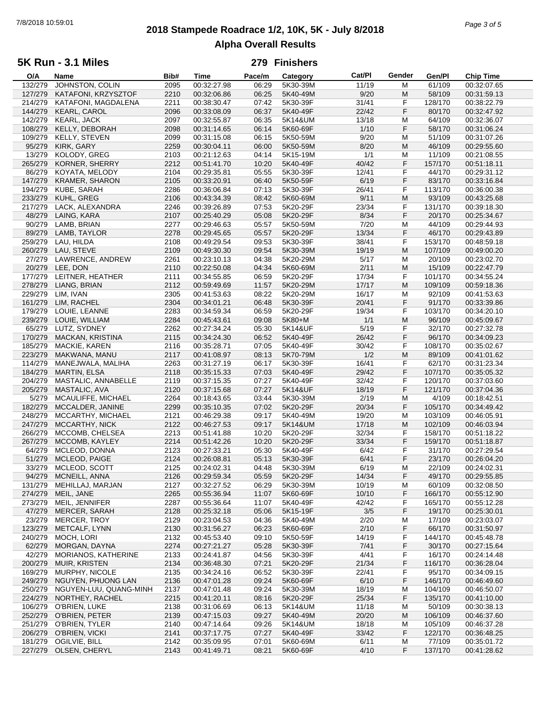# **2018 Stampede Roadrace 1/2, 10K, 5K - July 8/2018** 7/8/2018 10:59:01 *Page 3 of 5* **Alpha Overall Results**

### **5K Run - 3.1 Miles**

| O/A     | Name                    | Bib# | <b>Time</b> | Pace/m | Category | Cat/Pl | Gender | Gen/Pl  | <b>Chip Time</b> |
|---------|-------------------------|------|-------------|--------|----------|--------|--------|---------|------------------|
| 132/279 | JOHNSTON, COLIN         | 2095 | 00:32:27.98 | 06:29  | 5K30-39M | 11/19  | M      | 61/109  | 00:32:07.65      |
| 127/279 | KATAFONI, KRZYSZTOF     | 2210 | 00:32:06.86 | 06:25  | 5K40-49M | 9/20   | M      | 58/109  | 00:31:59.13      |
| 214/279 | KATAFONI, MAGDALENA     | 2211 | 00:38:30.47 | 07:42  | 5K30-39F | 31/41  | F      | 128/170 | 00:38:22.79      |
|         |                         |      |             |        |          |        |        |         |                  |
| 144/279 | <b>KEARL, CAROL</b>     | 2096 | 00:33:08.09 | 06:37  | 5K40-49F | 22/42  | F      | 80/170  | 00:32:47.92      |
| 142/279 | <b>KEARL, JACK</b>      | 2097 | 00:32:55.87 | 06:35  | 5K14&UM  | 13/18  | M      | 64/109  | 00:32:36.07      |
| 108/279 | KELLY, DEBORAH          | 2098 | 00:31:14.65 | 06:14  | 5K60-69F | 1/10   | F      | 58/170  | 00:31:06.24      |
| 109/279 | KELLY, STEVEN           | 2099 | 00:31:15.08 | 06:15  | 5K50-59M | 9/20   | M      | 51/109  | 00:31:07.26      |
| 95/279  | KIRK, GARY              | 2259 | 00:30:04.11 | 06:00  | 5K50-59M | 8/20   | M      | 46/109  | 00:29:55.60      |
| 13/279  | KOLODY, GREG            | 2103 | 00:21:12.63 | 04:14  | 5K15-19M | 1/1    | M      | 11/109  | 00:21:08.55      |
|         |                         |      |             |        |          |        |        |         |                  |
| 265/279 | <b>KORNER, SHERRY</b>   | 2212 | 00:51:41.70 | 10:20  | 5K40-49F | 40/42  | F      | 157/170 | 00:51:18.11      |
| 86/279  | KOYATA, MELODY          | 2104 | 00:29:35.81 | 05:55  | 5K30-39F | 12/41  | F      | 44/170  | 00:29:31.12      |
| 147/279 | KRAMER, SHARON          | 2105 | 00:33:20.91 | 06:40  | 5K50-59F | 6/19   | F      | 83/170  | 00:33:16.84      |
| 194/279 | KUBE, SARAH             | 2286 | 00:36:06.84 | 07:13  | 5K30-39F | 26/41  | F      | 113/170 | 00:36:00.38      |
| 233/279 | KUHL, GREG              | 2106 | 00:43:34.39 | 08:42  | 5K60-69M | 9/11   | M      | 93/109  | 00:43:25.68      |
| 217/279 | LACK, ALEXANDRA         | 2246 | 00:39:26.89 | 07:53  | 5K20-29F | 23/34  | F      | 131/170 | 00:39:18.30      |
|         |                         |      |             |        |          |        |        |         |                  |
| 48/279  | LAING, KARA             | 2107 | 00:25:40.29 | 05:08  | 5K20-29F | 8/34   | F      | 20/170  | 00:25:34.67      |
| 90/279  | LAMB, BRIAN             | 2277 | 00:29:46.63 | 05:57  | 5K50-59M | 7/20   | M      | 44/109  | 00:29:44.93      |
| 89/279  | LAMB, TAYLOR            | 2278 | 00:29:45.65 | 05:57  | 5K20-29F | 13/34  | F      | 46/170  | 00:29:43.89      |
| 259/279 | LAU, HILDA              | 2108 | 00:49:29.54 | 09:53  | 5K30-39F | 38/41  | F      | 153/170 | 00:48:59.18      |
| 260/279 | LAU, STEVE              | 2109 | 00:49:30.30 | 09:54  | 5K30-39M | 19/19  | M      | 107/109 | 00:49:00.20      |
| 27/279  | LAWRENCE, ANDREW        | 2261 | 00:23:10.13 | 04:38  | 5K20-29M | 5/17   | M      | 20/109  | 00:23:02.70      |
|         |                         |      |             |        |          |        |        |         |                  |
| 20/279  | LEE, DON                | 2110 | 00:22:50.08 | 04:34  | 5K60-69M | 2/11   | M      | 15/109  | 00:22:47.79      |
| 177/279 | LEITNER, HEATHER        | 2111 | 00:34:55.85 | 06:59  | 5K20-29F | 17/34  | F      | 101/170 | 00:34:55.24      |
| 278/279 | LIANG, BRIAN            | 2112 | 00:59:49.69 | 11:57  | 5K20-29M | 17/17  | M      | 109/109 | 00:59:18.36      |
| 229/279 | LIM, IVAN               | 2305 | 00:41:53.63 | 08:22  | 5K20-29M | 16/17  | M      | 92/109  | 00:41:53.63      |
| 161/279 | LIM, RACHEL             | 2304 | 00:34:01.21 | 06:48  | 5K30-39F | 20/41  | F      | 91/170  | 00:33:39.86      |
|         |                         |      |             |        |          |        |        |         |                  |
| 179/279 | LOUIE, LEANNE           | 2283 | 00:34:59.34 | 06:59  | 5K20-29F | 19/34  | F      | 103/170 | 00:34:20.10      |
| 239/279 | LOUIE, WILLIAM          | 2284 | 00:45:43.61 | 09:08  | 5K80+M   | 1/1    | M      | 96/109  | 00:45:09.67      |
| 65/279  | LUTZ, SYDNEY            | 2262 | 00:27:34.24 | 05:30  | 5K14&UF  | 5/19   | F      | 32/170  | 00:27:32.78      |
| 170/279 | <b>MACKAN, KRISTINA</b> | 2115 | 00:34:24.30 | 06:52  | 5K40-49F | 26/42  | F      | 96/170  | 00:34:09.23      |
| 185/279 | MACKIE, KAREN           | 2116 | 00:35:28.71 | 07:05  | 5K40-49F | 30/42  | F      | 108/170 | 00:35:02.67      |
| 223/279 | MAKWANA, MANU           | 2117 | 00:41:08.97 | 08:13  | 5K70-79M | 1/2    | M      | 89/109  | 00:41:01.62      |
|         |                         |      |             |        |          |        |        |         |                  |
| 114/279 | MANEJWALA, MALIHA       | 2263 | 00:31:27.19 | 06:17  | 5K30-39F | 16/41  | F      | 62/170  | 00:31:23.34      |
| 184/279 | <b>MARTIN, ELSA</b>     | 2118 | 00:35:15.33 | 07:03  | 5K40-49F | 29/42  | F      | 107/170 | 00:35:05.32      |
| 204/279 | MASTALIC, ANNABELLE     | 2119 | 00:37:15.35 | 07:27  | 5K40-49F | 32/42  | F      | 120/170 | 00:37:03.60      |
| 205/279 | MASTALIC, AVA           | 2120 | 00:37:15.68 | 07:27  | 5K14&UF  | 18/19  | F      | 121/170 | 00:37:04.36      |
| 5/279   | MCAULIFFE, MICHAEL      | 2264 | 00:18:43.65 | 03:44  | 5K30-39M | 2/19   | M      | 4/109   | 00:18:42.51      |
| 182/279 | MCCALDER, JANINE        | 2299 | 00:35:10.35 | 07:02  | 5K20-29F | 20/34  | F      | 105/170 | 00:34:49.42      |
| 248/279 | MCCARTHY, MICHAEL       | 2121 | 00:46:29.38 | 09:17  | 5K40-49M | 19/20  | M      | 103/109 | 00:46:05.91      |
|         |                         |      |             |        |          |        |        |         |                  |
| 247/279 | <b>MCCARTHY, NICK</b>   | 2122 | 00:46:27.53 | 09:17  | 5K14&UM  | 17/18  | M      | 102/109 | 00:46:03.94      |
| 266/279 | MCCOMB, CHELSEA         | 2213 | 00:51:41.88 | 10:20  | 5K20-29F | 32/34  | F      | 158/170 | 00:51:18.22      |
| 267/279 | MCCOMB, KAYLEY          | 2214 | 00:51:42.26 | 10:20  | 5K20-29F | 33/34  | F      | 159/170 | 00:51:18.87      |
| 64/279  | MCLEOD, DONNA           | 2123 | 00:27:33.21 | 05:30  | 5K40-49F | 6/42   | F      | 31/170  | 00:27:29.54      |
| 51/279  | MCLEOD, PAIGE           | 2124 | 00:26:08.81 | 05:13  | 5K30-39F | 6/41   | F      | 23/170  | 00:26:04.20      |
| 33/279  | MCLEOD, SCOTT           | 2125 | 00:24:02.31 | 04:48  | 5K30-39M | 6/19   | M      | 22/109  | 00:24:02.31      |
|         |                         |      |             |        |          |        |        |         |                  |
| 94/279  | MCNEILL, ANNA           | 2126 | 00:29:59.34 | 05:59  | 5K20-29F | 14/34  | F      | 49/170  | 00:29:55.85      |
| 131/279 | MEHILLAJ, MARJAN        | 2127 | 00:32:27.52 | 06:29  | 5K30-39M | 10/19  | M      | 60/109  | 00:32:08.50      |
| 274/279 | MEIL, JANE              | 2265 | 00:55:36.94 | 11:07  | 5K60-69F | 10/10  | F      | 166/170 | 00:55:12.90      |
| 273/279 | MEIL, JENNIFER          | 2287 | 00:55:36.64 | 11:07  | 5K40-49F | 42/42  | F      | 165/170 | 00:55:12.28      |
| 47/279  | MERCER, SARAH           | 2128 | 00:25:32.18 | 05:06  | 5K15-19F | 3/5    | F      | 19/170  | 00:25:30.01      |
| 23/279  | MERCER, TROY            | 2129 | 00:23:04.53 | 04:36  | 5K40-49M | 2/20   | M      | 17/109  | 00:23:03.07      |
|         |                         |      |             |        |          |        |        |         |                  |
| 123/279 | METCALF, LYNN           | 2130 | 00:31:56.27 | 06:23  | 5K60-69F | 2/10   | F      | 66/170  | 00:31:50.97      |
| 240/279 | MOCH, LORI              | 2132 | 00:45:53.40 | 09:10  | 5K50-59F | 14/19  | F      | 144/170 | 00:45:48.78      |
| 62/279  | MORGAN, DAYNA           | 2274 | 00:27:21.27 | 05:28  | 5K30-39F | 7/41   | F      | 30/170  | 00:27:15.64      |
| 42/279  | MORIANOS, KATHERINE     | 2133 | 00:24:41.87 | 04:56  | 5K30-39F | 4/41   | F      | 16/170  | 00:24:14.48      |
| 200/279 | MUIR, KRISTEN           | 2134 | 00:36:48.30 | 07:21  | 5K20-29F | 21/34  | F      | 116/170 | 00:36:28.04      |
| 169/279 | MURPHY, NICOLE          |      | 00:34:24.16 | 06:52  | 5K30-39F | 22/41  | F      | 95/170  | 00:34:09.15      |
|         |                         | 2135 |             |        |          |        |        |         |                  |
| 249/279 | NGUYEN, PHUONG LAN      | 2136 | 00:47:01.28 | 09:24  | 5K60-69F | 6/10   | F      | 146/170 | 00:46:49.60      |
| 250/279 | NGUYEN-LUU, QUANG-MINH  | 2137 | 00:47:01.48 | 09:24  | 5K30-39M | 18/19  | M      | 104/109 | 00:46:50.07      |
| 224/279 | NORTHEY, RACHEL         | 2215 | 00:41:20.11 | 08:16  | 5K20-29F | 25/34  | F      | 135/170 | 00:41:10.00      |
| 106/279 | O'BRIEN, LUKE           | 2138 | 00:31:06.69 | 06:13  | 5K14&UM  | 11/18  | M      | 50/109  | 00:30:38.13      |
| 252/279 | O'BRIEN, PETER          | 2139 | 00:47:15.03 | 09:27  | 5K40-49M | 20/20  | M      | 106/109 | 00:46:37.60      |
| 251/279 | O'BRIEN, TYLER          | 2140 | 00:47:14.64 | 09:26  | 5K14&UM  | 18/18  |        | 105/109 | 00:46:37.28      |
|         |                         |      |             |        |          |        | M      |         |                  |
| 206/279 | O'BRIEN, VICKI          | 2141 | 00:37:17.75 | 07:27  | 5K40-49F | 33/42  | F      | 122/170 | 00:36:48.25      |
| 181/279 | OGILVIE, BILL           | 2142 | 00:35:09.95 | 07:01  | 5K60-69M | 6/11   | M      | 77/109  | 00:35:01.72      |
|         | 227/279 OLSEN, CHERYL   | 2143 | 00:41:49.71 | 08:21  | 5K60-69F | 4/10   | F      | 137/170 | 00:41:28.62      |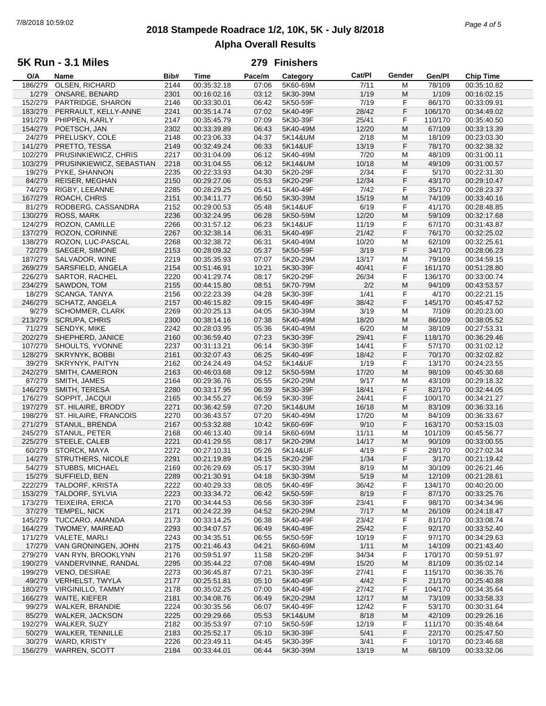# **2018 Stampede Roadrace 1/2, 10K, 5K - July 8/2018** 7/8/2018 10:59:02 *Page 4 of 5* **Alpha Overall Results**

### **5K Run - 3.1 Miles**

| O/A     | Name                       | Bib# | <b>Time</b> | Pace/m | Category | Cat/PI | Gender | Gen/Pl  | <b>Chip Time</b> |
|---------|----------------------------|------|-------------|--------|----------|--------|--------|---------|------------------|
| 186/279 | OLSEN, RICHARD             | 2144 | 00:35:32.18 | 07:06  | 5K60-69M | 7/11   | M      | 78/109  | 00:35:10.82      |
| 1/279   | ONSARE, BENARD             | 2301 | 00:16:02.16 | 03:12  | 5K30-39M | 1/19   | M      | 1/109   | 00:16:02.15      |
| 152/279 | PARTRIDGE, SHARON          | 2146 | 00:33:30.01 | 06:42  | 5K50-59F | 7/19   | F      | 86/170  | 00:33:09.91      |
| 183/279 | PERRAULT, KELLY-ANNE       | 2241 | 00:35:14.74 | 07:02  | 5K40-49F | 28/42  | F      | 106/170 | 00:34:49.02      |
| 191/279 | PHIPPEN, KARLY             | 2147 | 00:35:45.79 | 07:09  | 5K30-39F | 25/41  | F      | 110/170 | 00:35:40.50      |
|         |                            |      |             |        |          |        |        |         |                  |
| 154/279 | POETSCH, JAN               | 2302 | 00:33:39.89 | 06:43  | 5K40-49M | 12/20  | M      | 67/109  | 00:33:13.39      |
| 24/279  | PRELUSKY, COLE             | 2148 | 00:23:06.33 | 04:37  | 5K14&UM  | 2/18   | M      | 18/109  | 00:23:03.30      |
| 141/279 | PRETTO, TESSA              | 2149 | 00:32:49.24 | 06:33  | 5K14&UF  | 13/19  | F      | 78/170  | 00:32:38.32      |
| 102/279 | PRUSINKIEWICZ, CHRIS       | 2217 | 00:31:04.09 | 06:12  | 5K40-49M | 7/20   | M      | 48/109  | 00:31:00.11      |
| 103/279 | PRUSINKIEWICZ, SEBASTIAN   | 2218 | 00:31:04.55 | 06:12  | 5K14&UM  | 10/18  | M      | 49/109  | 00:31:00.57      |
| 19/279  | PYKE, SHANNON              | 2235 | 00:22:33.93 | 04:30  | 5K20-29F | 2/34   | F      | 5/170   | 00:22:31.30      |
| 84/279  | <b>REISER, MEGHAN</b>      | 2150 | 00:29:27.06 | 05:53  | 5K20-29F | 12/34  | F      | 43/170  | 00:29:10.47      |
| 74/279  | RIGBY, LEEANNE             | 2285 | 00:28:29.25 | 05:41  | 5K40-49F | 7/42   | F      | 35/170  | 00:28:23.37      |
| 167/279 | ROACH, CHRIS               | 2151 | 00:34:11.77 | 06:50  | 5K30-39M | 15/19  | M      | 74/109  | 00:33:40.16      |
|         |                            |      |             |        |          |        |        |         |                  |
| 81/279  | RODBERG, CASSANDRA         | 2152 | 00:29:00.53 | 05:48  | 5K14&UF  | 6/19   | F      | 41/170  | 00:28:48.85      |
| 130/279 | ROSS, MARK                 | 2236 | 00:32:24.95 | 06:28  | 5K50-59M | 12/20  | M      | 59/109  | 00:32:17.68      |
| 124/279 | ROZON, CAMILLE             | 2266 | 00:31:57.12 | 06:23  | 5K14&UF  | 11/19  | F      | 67/170  | 00:31:43.87      |
| 137/279 | ROZON, CORINNE             | 2267 | 00:32:38.14 | 06:31  | 5K40-49F | 21/42  | F      | 76/170  | 00:32:25.02      |
| 138/279 | ROZON, LUC-PASCAL          | 2268 | 00:32:38.72 | 06:31  | 5K40-49M | 10/20  | M      | 62/109  | 00:32:25.61      |
| 72/279  | SAEGER, SIMONE             | 2153 | 00:28:09.32 | 05:37  | 5K50-59F | 3/19   | F      | 34/170  | 00:28:06.23      |
| 187/279 | SALVADOR, WINE             | 2219 | 00:35:35.93 | 07:07  | 5K20-29M | 13/17  | M      | 79/109  | 00:34:59.15      |
| 269/279 | SARSFIELD, ANGELA          | 2154 | 00:51:46.91 | 10:21  | 5K30-39F | 40/41  | F      | 161/170 | 00:51:28.80      |
| 226/279 | <b>SARTOR, RACHEL</b>      | 2220 | 00:41:29.74 | 08:17  | 5K20-29F | 26/34  | F      | 136/170 |                  |
|         |                            |      |             |        |          |        |        |         | 00:33:00.74      |
| 234/279 | SAWDON, TOM                | 2155 | 00:44:15.80 | 08:51  | 5K70-79M | 2/2    | M      | 94/109  | 00:43:53.57      |
| 18/279  | <b>SCANGA, TANYA</b>       | 2156 | 00:22:23.39 | 04:28  | 5K30-39F | 1/41   | F      | 4/170   | 00:22:21.15      |
| 246/279 | <b>SCHATZ, ANGELA</b>      | 2157 | 00:46:15.82 | 09:15  | 5K40-49F | 38/42  | F      | 145/170 | 00:45:47.52      |
| 9/279   | <b>SCHOMMER, CLARK</b>     | 2269 | 00:20:25.13 | 04:05  | 5K30-39M | 3/19   | M      | 7/109   | 00:20:23.00      |
| 213/279 | <b>SCRUPA, CHRIS</b>       | 2300 | 00:38:14.16 | 07:38  | 5K40-49M | 18/20  | M      | 86/109  | 00:38:05.52      |
| 71/279  | SENDYK, MIKE               | 2242 | 00:28:03.95 | 05:36  | 5K40-49M | 6/20   | M      | 38/109  | 00:27:53.31      |
| 202/279 | SHEPHERD, JANICE           | 2160 | 00:36:59.40 | 07:23  | 5K30-39F | 29/41  | F      | 118/170 | 00:36:29.46      |
| 107/279 | SHOULTS, YVONNE            | 2237 | 00:31:13.21 | 06:14  | 5K30-39F | 14/41  | F      | 57/170  | 00:31:02.12      |
|         |                            |      | 00:32:07.43 |        |          |        | F      | 70/170  |                  |
| 128/279 | SKRYNYK, BOBBI             | 2161 |             | 06:25  | 5K40-49F | 18/42  |        |         | 00:32:02.82      |
| 39/279  | <b>SKRYNYK, PAITYN</b>     | 2162 | 00:24:24.49 | 04:52  | 5K14&UF  | 1/19   | F      | 13/170  | 00:24:23.55      |
| 242/279 | SMITH, CAMERON             | 2163 | 00:46:03.68 | 09:12  | 5K50-59M | 17/20  | M      | 98/109  | 00:45:30.68      |
| 87/279  | SMITH, JAMES               | 2164 | 00:29:36.76 | 05:55  | 5K20-29M | 9/17   | M      | 43/109  | 00:29:18.32      |
| 146/279 | SMITH, TERESA              | 2280 | 00:33:17.95 | 06:39  | 5K30-39F | 18/41  | F      | 82/170  | 00:32:44.05      |
| 176/279 | SOPPIT, JACQUI             | 2165 | 00:34:55.27 | 06:59  | 5K30-39F | 24/41  | F      | 100/170 | 00:34:21.27      |
| 197/279 | ST. HILAIRE, BRODY         | 2271 | 00:36:42.59 | 07:20  | 5K14&UM  | 16/18  | M      | 83/109  | 00:36:33.16      |
| 198/279 | ST. HILAIRE, FRANCOIS      | 2270 | 00:36:43.57 | 07:20  | 5K40-49M | 17/20  | M      | 84/109  | 00:36:33.67      |
| 271/279 | STANUL, BRENDA             | 2167 | 00:53:32.88 | 10:42  | 5K60-69F | 9/10   | F      | 163/170 | 00:53:15.03      |
| 245/279 | STANUL, PETER              | 2168 | 00:46:13.40 | 09:14  | 5K60-69M | 11/11  | M      | 101/109 | 00:45:56.77      |
| 225/279 | STEELE, CALEB              | 2221 | 00:41:29.55 | 08:17  | 5K20-29M | 14/17  | M      | 90/109  | 00:33:00.55      |
| 60/279  |                            |      |             |        |          |        |        |         |                  |
|         | STORCK, MAYA               | 2272 | 00:27:10.31 | 05:26  | 5K14&UF  | 4/19   | F      | 28/170  | 00:27:02.34      |
| 14/279  | STRUTHERS, NICOLE          | 2291 | 00:21:19.89 | 04:15  | 5K20-29F | 1/34   | F      | 3/170   | 00:21:19.42      |
| 54/279  | <b>STUBBS, MICHAEL</b>     | 2169 | 00:26:29.69 | 05:17  | 5K30-39M | 8/19   | M      | 30/109  | 00:26:21.46      |
|         | 15/279 SUFFIELD, BEN       | 2289 | 00:21:30.91 | 04:18  | 5K30-39M | 5/19   | M      | 12/109  | 00:21:28.61      |
| 222/279 | <b>TALDORF, KRISTA</b>     | 2222 | 00:40:29.33 | 08:05  | 5K40-49F | 36/42  | F      | 134/170 | 00:40:20.00      |
| 153/279 | TALDORF, SYLVIA            | 2223 | 00:33:34.72 | 06:42  | 5K50-59F | 8/19   | F      | 87/170  | 00:33:25.76      |
| 173/279 | TEIXEIRA, ERICA            | 2170 | 00:34:44.53 | 06:56  | 5K30-39F | 23/41  | F      | 98/170  | 00:34:34.96      |
| 37/279  | TEMPEL, NICK               | 2171 | 00:24:22.39 | 04:52  | 5K20-29M | 7/17   | M      | 26/109  | 00:24:18.47      |
| 145/279 | TUCCARO, AMANDA            | 2173 | 00:33:14.25 | 06:38  | 5K40-49F | 23/42  | F      | 81/170  | 00:33:08.74      |
| 164/279 | TWOMEY, MAIREAD            | 2293 | 00:34:07.57 | 06:49  | 5K40-49F | 25/42  | F      | 92/170  | 00:33:52.40      |
| 171/279 | <b>VALETE, MARLI</b>       |      |             |        |          |        |        |         |                  |
|         |                            | 2243 | 00:34:35.51 | 06:55  | 5K50-59F | 10/19  | F      | 97/170  | 00:34:29.63      |
|         | 17/279 VAN GRONINGEN, JOHN | 2175 | 00:21:46.43 | 04:21  | 5K60-69M | 1/11   | M      | 14/109  | 00:21:43.40      |
| 279/279 | VAN RYN, BROOKLYNN         | 2176 | 00:59:51.97 | 11:58  | 5K20-29F | 34/34  | F      | 170/170 | 00:59:51.97      |
| 190/279 | VANDERVINNE, RANDAL        | 2295 | 00:35:44.22 | 07:08  | 5K40-49M | 15/20  | M      | 81/109  | 00:35:02.14      |
| 199/279 | VENO, DESIRAE              | 2273 | 00:36:45.87 | 07:21  | 5K30-39F | 27/41  | F.     | 115/170 | 00:36:35.76      |
| 49/279  | <b>VERHELST, TWYLA</b>     | 2177 | 00:25:51.81 | 05:10  | 5K40-49F | 4/42   | F      | 21/170  | 00:25:40.88      |
| 180/279 | <b>VIRGINILLO, TAMMY</b>   | 2178 | 00:35:02.25 | 07:00  | 5K40-49F | 27/42  | F      | 104/170 | 00:34:35.64      |
| 166/279 | WAITE, KIEFER              | 2181 | 00:34:08.76 | 06:49  | 5K20-29M | 12/17  | M      | 73/109  | 00:33:58.33      |
| 99/279  | WALKER, BRANDIE            | 2224 | 00:30:35.56 | 06:07  | 5K40-49F | 12/42  | F      | 53/170  | 00:30:31.64      |
| 85/279  | WALKER, JACKSON            | 2225 | 00:29:29.66 | 05:53  | 5K14&UM  | 8/18   | M      | 42/109  | 00:29:26.16      |
|         |                            |      |             |        |          |        |        |         |                  |
| 192/279 | WALKER, SUZY               | 2182 | 00:35:53.97 | 07:10  | 5K50-59F | 12/19  | F      | 111/170 | 00:35:48.64      |
| 50/279  | <b>WALKER, TENNILLE</b>    | 2183 | 00:25:52.17 | 05:10  | 5K30-39F | 5/41   | F      | 22/170  | 00:25:47.50      |
| 30/279  | WARD, KRISTY               | 2226 | 00:23:49.11 | 04:45  | 5K30-39F | 3/41   | F      | 10/170  | 00:23:46.68      |
|         | 156/279 WARREN, SCOTT      | 2184 | 00:33:44.01 | 06:44  | 5K30-39M | 13/19  | M      | 68/109  | 00:33:32.06      |